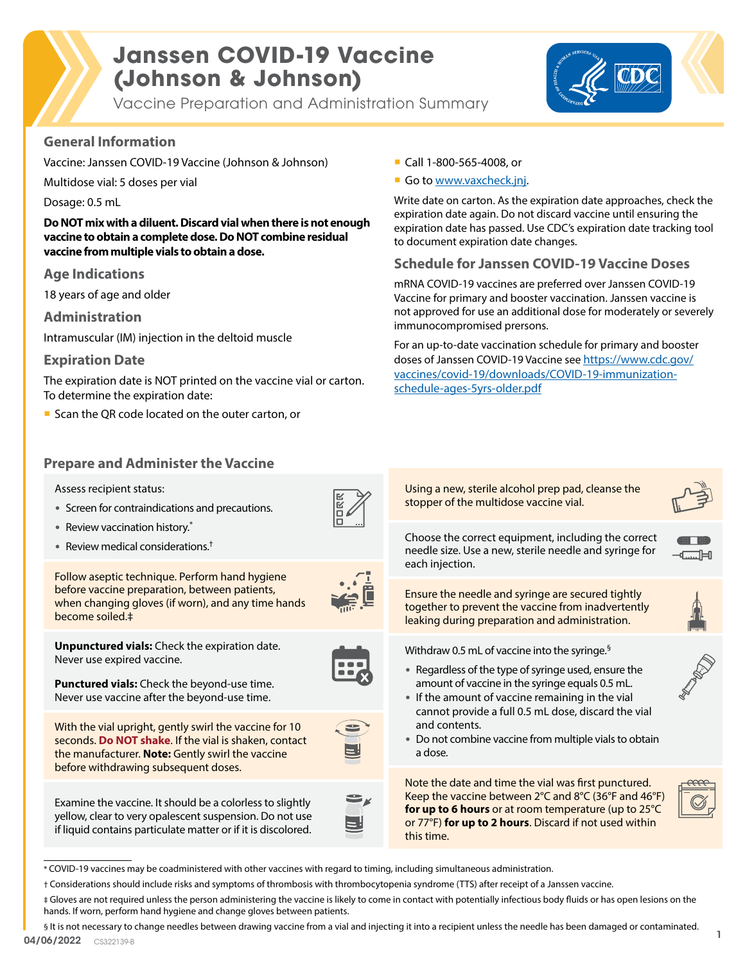# **Janssen COVID-19 Vaccine (Johnson & Johnson)**

Vaccine Preparation and Administration Summary



### **General Information**

Vaccine: Janssen COVID-19 Vaccine (Johnson & Johnson)

Multidose vial: 5 doses per vial

Dosage: 0.5 mL

**Do NOT mix with a diluent. Discard vial when there is not enough vaccine to obtain a complete dose. Do NOT combine residual vaccine from multiple vials to obtain a dose.**

#### **Age Indications**

18 years of age and older

**Administration**

Intramuscular (IM) injection in the deltoid muscle

#### **Expiration Date**

The expiration date is NOT printed on the vaccine vial or carton. To determine the expiration date:

- Scan the QR code located on the outer carton, or
- **Prepare and Administer the Vaccine**
	- Assess recipient status:
	- Screen for contraindications and precautions.
	- Review vaccination history.\*

Never use expired vaccine.

• Review medical considerations.†



before vaccine preparation, between patients, when changing gloves (if worn), and any time hands become soiled.‡

Follow aseptic technique. Perform hand hygiene

**Unpunctured vials:** Check the expiration date.

**Punctured vials:** Check the beyond-use time. Never use vaccine after the beyond-use time.

before withdrawing subsequent doses.

With the vial upright, gently swirl the vaccine for 10 seconds. **Do NOT shake**. If the vial is shaken, contact the manufacturer. **Note:** Gently swirl the vaccine

Examine the vaccine. It should be a colorless to slightly yellow, clear to very opalescent suspension. Do not use if liquid contains particulate matter or if it is discolored.



- Call 1-800-565-4008, or
- Go to [www.vaxcheck.jnj.](https://www.vaxcheck.jnj)

Write date on carton. As the expiration date approaches, check the expiration date again. Do not discard vaccine until ensuring the expiration date has passed. Use CDC's expiration date tracking tool to document expiration date changes.

### **Schedule for Janssen COVID-19 Vaccine Doses**

mRNA COVID-19 vaccines are preferred over Janssen COVID-19 Vaccine for primary and booster vaccination. Janssen vaccine is not approved for use an additional dose for moderately or severely immunocompromised prersons.

For an up-to-date vaccination schedule for primary and booster doses of Janssen COVID-19 Vaccine see [https://www.cdc.gov/](https://www.cdc.gov/vaccines/covid-19/downloads/COVID-19-immunization-schedule-ages-5yrs-older.pdf) [vaccines/covid-19/downloads/COVID-19-immunization](https://www.cdc.gov/vaccines/covid-19/downloads/COVID-19-immunization-schedule-ages-5yrs-older.pdf)[schedule-ages-5yrs-older.pdf](https://www.cdc.gov/vaccines/covid-19/downloads/COVID-19-immunization-schedule-ages-5yrs-older.pdf)

Using a new, sterile alcohol prep pad, cleanse the stopper of the multidose vaccine vial.



Choose the correct equipment, including the correct needle size. Use a new, sterile needle and syringe for each injection.



Ensure the needle and syringe are secured tightly together to prevent the vaccine from inadvertently leaking during preparation and administration.

Withdraw 0.5 mL of vaccine into the syringe.§

- Regardless of the type of syringe used, ensure the amount of vaccine in the syringe equals 0.5 mL.
- If the amount of vaccine remaining in the vial cannot provide a full 0.5 mL dose, discard the vial and contents.
- Do not combine vaccine from multiple vials to obtain a dose.

Note the date and time the vial was first punctured. Keep the vaccine between 2°C and 8°C (36°F and 46°F) **for up to 6 hours** or at room temperature (up to 25°C or 77°F) **for up to 2 hours**. Discard if not used within this time.



\* COVID-19 vaccines may be coadministered with other vaccines with regard to timing, including simultaneous administration.

04/06/2022 CS322139-B § It is not necessary to change needles between drawing vaccine from a vial and injecting it into a recipient unless the needle has been damaged or contaminated.

<sup>†</sup> Considerations should include risks and symptoms of thrombosis with thrombocytopenia syndrome (TTS) after receipt of a Janssen vaccine.

<sup>‡</sup> Gloves are not required unless the person administering the vaccine is likely to come in contact with potentially infectious body fluids or has open lesions on the hands. If worn, perform hand hygiene and change gloves between patients.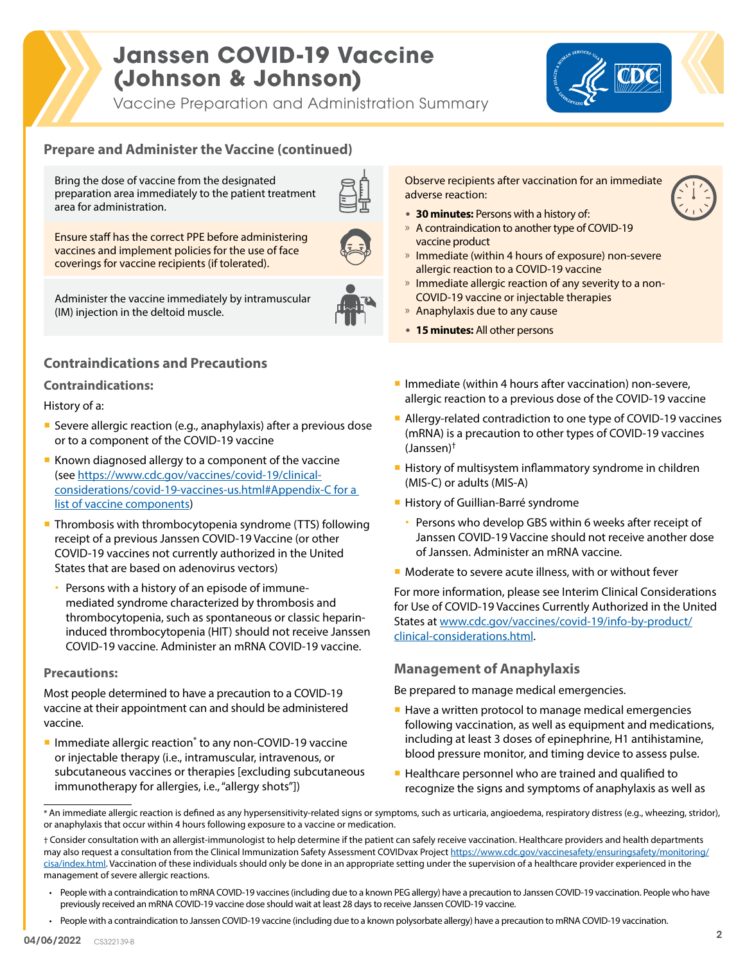# **Janssen COVID-19 Vaccine (Johnson & Johnson)**

Vaccine Preparation and Administration Summary



## **Prepare and Administer the Vaccine (continued)**

Bring the dose of vaccine from the designated preparation area immediately to the patient treatment area for administration.

Ensure staff has the correct PPE before administering vaccines and implement policies for the use of face coverings for vaccine recipients (if tolerated).



Administer the vaccine immediately by intramuscular (IM) injection in the deltoid muscle.

## **Contraindications and Precautions**

#### **Contraindications:**

#### History of a:

- Severe allergic reaction (e.g., anaphylaxis) after a previous dose or to a component of the COVID-19 vaccine
- Known diagnosed allergy to a component of the vaccine (see [https://www.cdc.gov/vaccines/covid-19/clinical](https://www.cdc.gov/vaccines/covid-19/clinical-considerations/covid-19-vaccines-us.html#Appendix-C for a list of vaccine components)[considerations/covid-19-vaccines-us.html#Appendix-C for a](https://www.cdc.gov/vaccines/covid-19/clinical-considerations/covid-19-vaccines-us.html#Appendix-C for a list of vaccine components)  [list of vaccine components\)](https://www.cdc.gov/vaccines/covid-19/clinical-considerations/covid-19-vaccines-us.html#Appendix-C for a list of vaccine components)
- **Thrombosis with thrombocytopenia syndrome (TTS) following** receipt of a previous Janssen COVID-19 Vaccine (or other COVID-19 vaccines not currently authorized in the United States that are based on adenovirus vectors)
	- Persons with a history of an episode of immunemediated syndrome characterized by thrombosis and thrombocytopenia, such as spontaneous or classic heparininduced thrombocytopenia (HIT) should not receive Janssen COVID-19 vaccine. Administer an mRNA COVID-19 vaccine.

#### **Precautions:**

Most people determined to have a precaution to a COVID-19 vaccine at their appointment can and should be administered vaccine.

**Immediate allergic reaction<sup>\*</sup> to any non-COVID-19 vaccine** or injectable therapy (i.e., intramuscular, intravenous, or subcutaneous vaccines or therapies [excluding subcutaneous immunotherapy for allergies, i.e., "allergy shots"])

Observe recipients after vaccination for an immediate adverse reaction:

- **30 minutes:** Persons with a history of:
- » A contraindication to another type of COVID-19 vaccine product
- » Immediate (within 4 hours of exposure) non-severe allergic reaction to a COVID-19 vaccine
- » Immediate allergic reaction of any severity to a non-COVID-19 vaccine or injectable therapies
- $\lambda$  Anaphylaxis due to any cause
- **15 minutes:** All other persons
- Immediate (within 4 hours after vaccination) non-severe, allergic reaction to a previous dose of the COVID-19 vaccine
- Allergy-related contradiction to one type of COVID-19 vaccines (mRNA) is a precaution to other types of COVID-19 vaccines (Janssen)†
- **History of multisystem inflammatory syndrome in children** (MIS-C) or adults (MIS-A)
- **History of Guillian-Barré syndrome** 
	- Persons who develop GBS within 6 weeks after receipt of Janssen COVID-19 Vaccine should not receive another dose of Janssen. Administer an mRNA vaccine.
- Moderate to severe acute illness, with or without fever

For more information, please see Interim Clinical Considerations for Use of COVID-19 Vaccines Currently Authorized in the United States at [www.cdc.gov/vaccines/covid-19/info-by-product/](http://www.cdc.gov/vaccines/covid-19/info-by-product/clinical-considerations.html) [clinical-considerations.html](http://www.cdc.gov/vaccines/covid-19/info-by-product/clinical-considerations.html).

#### **Management of Anaphylaxis**

Be prepared to manage medical emergencies.

- Have a written protocol to manage medical emergencies following vaccination, as well as equipment and medications, including at least 3 doses of epinephrine, H1 antihistamine, blood pressure monitor, and timing device to assess pulse.
- Healthcare personnel who are trained and qualified to recognize the signs and symptoms of anaphylaxis as well as

<sup>\*</sup> An immediate allergic reaction is defined as any hypersensitivity-related signs or symptoms, such as urticaria, angioedema, respiratory distress (e.g., wheezing, stridor), or anaphylaxis that occur within 4 hours following exposure to a vaccine or medication.

<sup>†</sup> Consider consultation with an allergist-immunologist to help determine if the patient can safely receive vaccination. Healthcare providers and health departments may also request a consultation from the Clinical Immunization Safety Assessment COVIDvax Project [https://www.cdc.gov/vaccinesafety/ensuringsafety/monitoring/](https://www.cdc.gov/vaccinesafety/ensuringsafety/monitoring/cisa/index.html) [cisa/index.html.](https://www.cdc.gov/vaccinesafety/ensuringsafety/monitoring/cisa/index.html) Vaccination of these individuals should only be done in an appropriate setting under the supervision of a healthcare provider experienced in the management of severe allergic reactions.

<sup>•</sup> People with a contraindication to mRNA COVID-19 vaccines (including due to a known PEG allergy) have a precaution to Janssen COVID-19 vaccination. People who have previously received an mRNA COVID-19 vaccine dose should wait at least 28 days to receive Janssen COVID-19 vaccine.

<sup>•</sup> People with a contraindication to Janssen COVID-19 vaccine (including due to a known polysorbate allergy) have a precaution to mRNA COVID-19 vaccination.